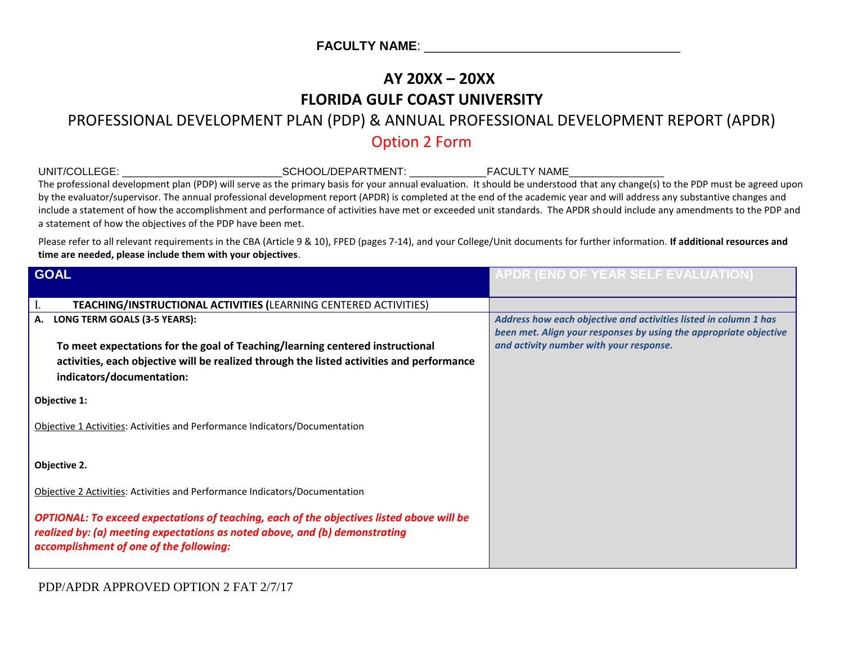## **AY 20XX – 20XX FLORIDA GULF COAST UNIVERSITY**

## PROFESSIONAL DEVELOPMENT PLAN (PDP) & ANNUAL PROFESSIONAL DEVELOPMENT REPORT (APDR) Option 2 Form

| UNIT/COLLEGE: __________________________________SCHOOL/DEPARTMENT: _____________FACULTY NAME________<br>The professional development plan (PDP) will serve as the primary basis for your annual evaluation. It should be understood that any change(s) to the PDP must be agreed upon<br>by the evaluator/supervisor. The annual professional development report (APDR) is completed at the end of the academic year and will address any substantive changes and<br>include a statement of how the accomplishment and performance of activities have met or exceeded unit standards. The APDR should include any amendments to the PDP and<br>a statement of how the objectives of the PDP have been met. |                                                                                                                                       |
|------------------------------------------------------------------------------------------------------------------------------------------------------------------------------------------------------------------------------------------------------------------------------------------------------------------------------------------------------------------------------------------------------------------------------------------------------------------------------------------------------------------------------------------------------------------------------------------------------------------------------------------------------------------------------------------------------------|---------------------------------------------------------------------------------------------------------------------------------------|
| Please refer to all relevant requirements in the CBA (Article 9 & 10), FPED (pages 7-14), and your College/Unit documents for further information. If additional resources and<br>time are needed, please include them with your objectives.                                                                                                                                                                                                                                                                                                                                                                                                                                                               |                                                                                                                                       |
| <b>GOAL</b>                                                                                                                                                                                                                                                                                                                                                                                                                                                                                                                                                                                                                                                                                                | APDR (END OF YEAR SELF EVALUATION)                                                                                                    |
| TEACHING/INSTRUCTIONAL ACTIVITIES (LEARNING CENTERED ACTIVITIES)                                                                                                                                                                                                                                                                                                                                                                                                                                                                                                                                                                                                                                           |                                                                                                                                       |
| LONG TERM GOALS (3-5 YEARS):<br>А.                                                                                                                                                                                                                                                                                                                                                                                                                                                                                                                                                                                                                                                                         | Address how each objective and activities listed in column 1 has<br>been met. Align your responses by using the appropriate objective |
| To meet expectations for the goal of Teaching/learning centered instructional                                                                                                                                                                                                                                                                                                                                                                                                                                                                                                                                                                                                                              | and activity number with your response.                                                                                               |
| activities, each objective will be realized through the listed activities and performance                                                                                                                                                                                                                                                                                                                                                                                                                                                                                                                                                                                                                  |                                                                                                                                       |
| indicators/documentation:                                                                                                                                                                                                                                                                                                                                                                                                                                                                                                                                                                                                                                                                                  |                                                                                                                                       |
| Objective 1:                                                                                                                                                                                                                                                                                                                                                                                                                                                                                                                                                                                                                                                                                               |                                                                                                                                       |
| Objective 1 Activities: Activities and Performance Indicators/Documentation                                                                                                                                                                                                                                                                                                                                                                                                                                                                                                                                                                                                                                |                                                                                                                                       |
| Objective 2.                                                                                                                                                                                                                                                                                                                                                                                                                                                                                                                                                                                                                                                                                               |                                                                                                                                       |
| Objective 2 Activities: Activities and Performance Indicators/Documentation                                                                                                                                                                                                                                                                                                                                                                                                                                                                                                                                                                                                                                |                                                                                                                                       |
| OPTIONAL: To exceed expectations of teaching, each of the objectives listed above will be<br>realized by: (a) meeting expectations as noted above, and (b) demonstrating<br>accomplishment of one of the following:                                                                                                                                                                                                                                                                                                                                                                                                                                                                                        |                                                                                                                                       |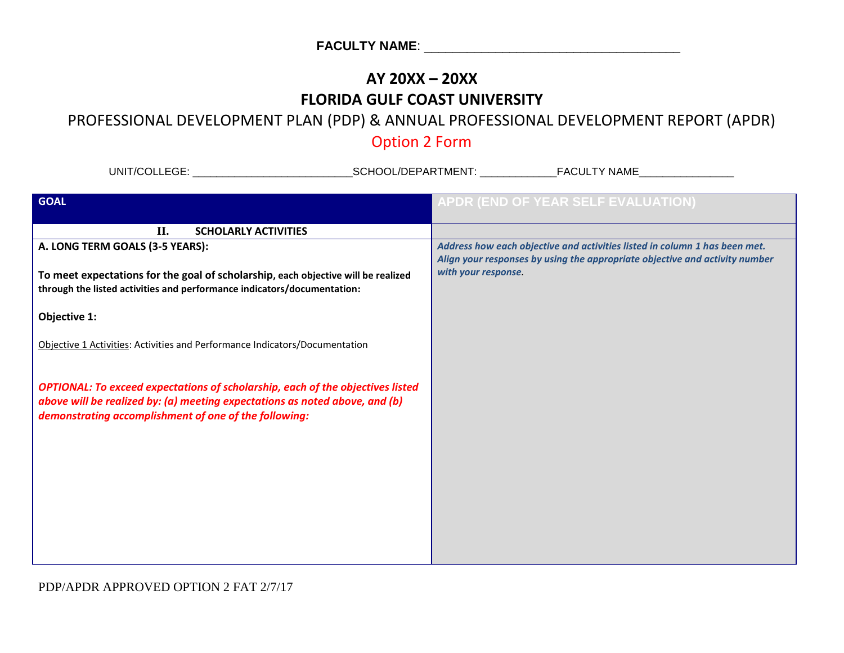## **AY 20XX – 20XX FLORIDA GULF COAST UNIVERSITY**

#### PROFESSIONAL DEVELOPMENT PLAN (PDP) & ANNUAL PROFESSIONAL DEVELOPMENT REPORT (APDR)

## Option 2 Form

| UNIT/COLLEGE: And the contract of the contract of the contract of the contract of the contract of the contract of the contract of the contract of the contract of the contract of the contract of the contract of the contract |                                                                                                                                                                                  |
|--------------------------------------------------------------------------------------------------------------------------------------------------------------------------------------------------------------------------------|----------------------------------------------------------------------------------------------------------------------------------------------------------------------------------|
| <b>GOAL</b>                                                                                                                                                                                                                    | APDR (END OF YEAR SELF EVALUATION)                                                                                                                                               |
| II.<br><b>SCHOLARLY ACTIVITIES</b>                                                                                                                                                                                             |                                                                                                                                                                                  |
| A. LONG TERM GOALS (3-5 YEARS):<br>To meet expectations for the goal of scholarship, each objective will be realized<br>through the listed activities and performance indicators/documentation:                                | Address how each objective and activities listed in column 1 has been met.<br>Align your responses by using the appropriate objective and activity number<br>with your response. |
| Objective 1:                                                                                                                                                                                                                   |                                                                                                                                                                                  |
| Objective 1 Activities: Activities and Performance Indicators/Documentation                                                                                                                                                    |                                                                                                                                                                                  |
| <b>OPTIONAL: To exceed expectations of scholarship, each of the objectives listed</b><br>above will be realized by: (a) meeting expectations as noted above, and (b)<br>demonstrating accomplishment of one of the following:  |                                                                                                                                                                                  |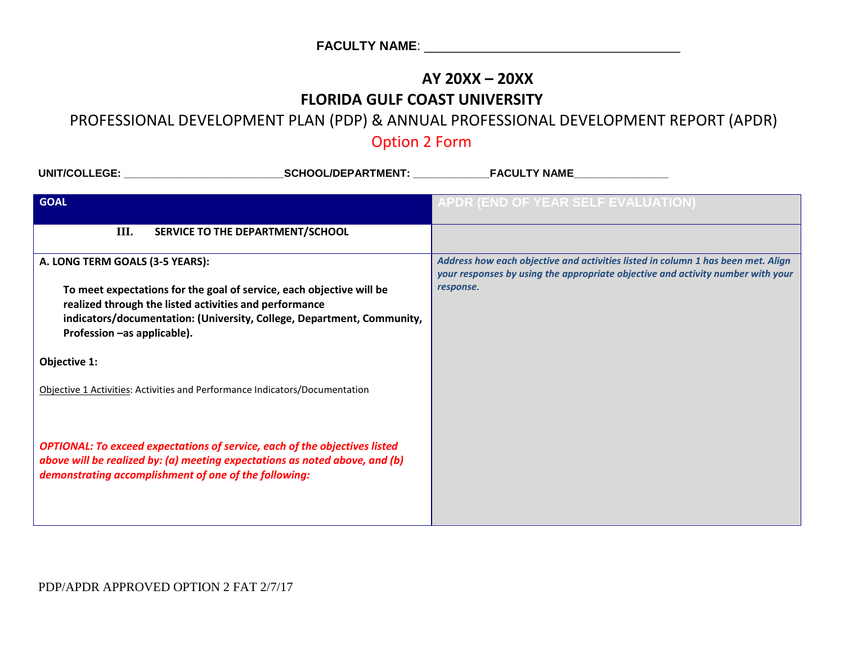# **AY 20XX – 20XX**

### **FLORIDA GULF COAST UNIVERSITY**

## PROFESSIONAL DEVELOPMENT PLAN (PDP) & ANNUAL PROFESSIONAL DEVELOPMENT REPORT (APDR)

## Option 2 Form

| UNIT/COLLEGE: the contract of the contract of the contract of the contract of the contract of the contract of the contract of the contract of the contract of the contract of the contract of the contract of the contract of<br>_SCHOOL/DEPARTMENT: _____________ | <b>FACULTY NAME</b>                                                                                                                                                              |
|--------------------------------------------------------------------------------------------------------------------------------------------------------------------------------------------------------------------------------------------------------------------|----------------------------------------------------------------------------------------------------------------------------------------------------------------------------------|
| <b>GOAL</b>                                                                                                                                                                                                                                                        | <b>APDR (END OF YEAR SELF EVALUATION)</b>                                                                                                                                        |
| III.<br>SERVICE TO THE DEPARTMENT/SCHOOL                                                                                                                                                                                                                           |                                                                                                                                                                                  |
| A. LONG TERM GOALS (3-5 YEARS):<br>To meet expectations for the goal of service, each objective will be<br>realized through the listed activities and performance                                                                                                  | Address how each objective and activities listed in column 1 has been met. Align<br>your responses by using the appropriate objective and activity number with your<br>response. |
| indicators/documentation: (University, College, Department, Community,<br>Profession -as applicable).                                                                                                                                                              |                                                                                                                                                                                  |
| Objective 1:                                                                                                                                                                                                                                                       |                                                                                                                                                                                  |
| Objective 1 Activities: Activities and Performance Indicators/Documentation                                                                                                                                                                                        |                                                                                                                                                                                  |
| <b>OPTIONAL: To exceed expectations of service, each of the objectives listed</b><br>above will be realized by: (a) meeting expectations as noted above, and (b)<br>demonstrating accomplishment of one of the following:                                          |                                                                                                                                                                                  |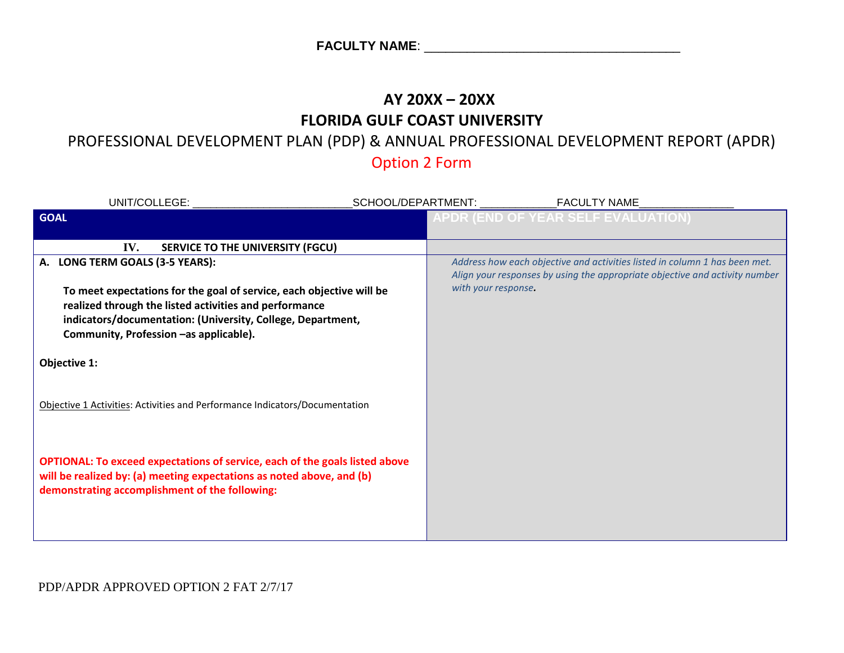## **AY 20XX – 20XX FLORIDA GULF COAST UNIVERSITY**

## PROFESSIONAL DEVELOPMENT PLAN (PDP) & ANNUAL PROFESSIONAL DEVELOPMENT REPORT (APDR)

Option 2 Form

| UNIT/COLLEGE: UNIT/COLLEGE:                                                                                                                                                                                                                                                |                                                                                                                                                                                  |
|----------------------------------------------------------------------------------------------------------------------------------------------------------------------------------------------------------------------------------------------------------------------------|----------------------------------------------------------------------------------------------------------------------------------------------------------------------------------|
| <b>GOAL</b>                                                                                                                                                                                                                                                                | <b>APDR (END OF YEAR SELF EVALUATION)</b>                                                                                                                                        |
| IV.<br><b>SERVICE TO THE UNIVERSITY (FGCU)</b>                                                                                                                                                                                                                             |                                                                                                                                                                                  |
| A. LONG TERM GOALS (3-5 YEARS):<br>To meet expectations for the goal of service, each objective will be<br>realized through the listed activities and performance<br>indicators/documentation: (University, College, Department,<br>Community, Profession -as applicable). | Address how each objective and activities listed in column 1 has been met.<br>Align your responses by using the appropriate objective and activity number<br>with your response. |
| Objective 1:                                                                                                                                                                                                                                                               |                                                                                                                                                                                  |
| Objective 1 Activities: Activities and Performance Indicators/Documentation                                                                                                                                                                                                |                                                                                                                                                                                  |
| <b>OPTIONAL: To exceed expectations of service, each of the goals listed above</b><br>will be realized by: (a) meeting expectations as noted above, and (b)<br>demonstrating accomplishment of the following:                                                              |                                                                                                                                                                                  |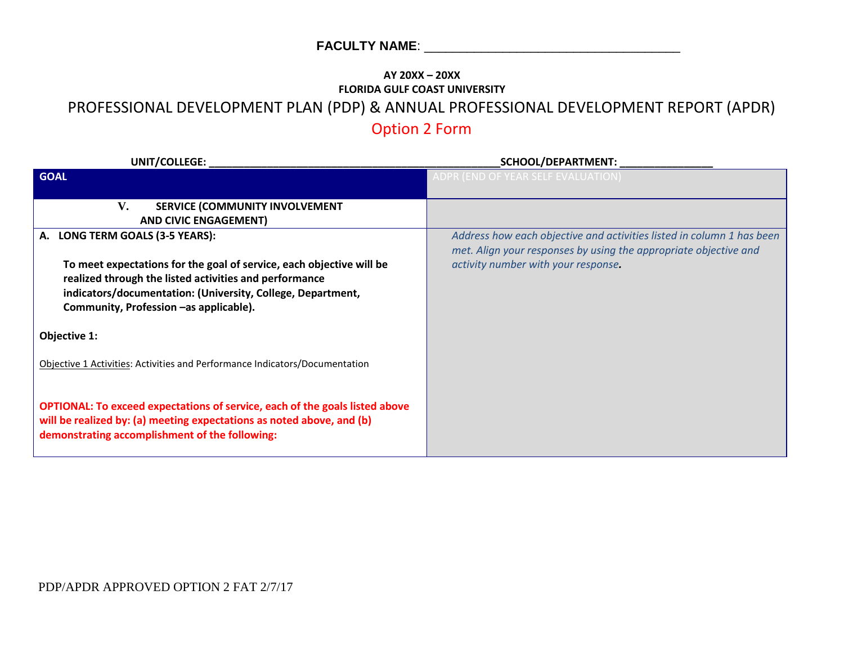#### **AY 20XX – 20XX FLORIDA GULF COAST UNIVERSITY** PROFESSIONAL DEVELOPMENT PLAN (PDP) & ANNUAL PROFESSIONAL DEVELOPMENT REPORT (APDR) Option 2 Form

| UNIT/COLLEGE:                                                                                                                                                                                                                           | SCHOOL/DEPARTMENT: _                                                                                                                      |
|-----------------------------------------------------------------------------------------------------------------------------------------------------------------------------------------------------------------------------------------|-------------------------------------------------------------------------------------------------------------------------------------------|
| <b>GOAL</b>                                                                                                                                                                                                                             | ADPR (END OF YEAR SELF EVALUATION)                                                                                                        |
| V.<br>SERVICE (COMMUNITY INVOLVEMENT<br><b>AND CIVIC ENGAGEMENT)</b>                                                                                                                                                                    |                                                                                                                                           |
| A. LONG TERM GOALS (3-5 YEARS):                                                                                                                                                                                                         | Address how each objective and activities listed in column 1 has been<br>met. Align your responses by using the appropriate objective and |
| To meet expectations for the goal of service, each objective will be<br>realized through the listed activities and performance<br>indicators/documentation: (University, College, Department,<br>Community, Profession -as applicable). | activity number with your response.                                                                                                       |
| Objective 1:                                                                                                                                                                                                                            |                                                                                                                                           |
| Objective 1 Activities: Activities and Performance Indicators/Documentation                                                                                                                                                             |                                                                                                                                           |
| <b>OPTIONAL: To exceed expectations of service, each of the goals listed above</b><br>will be realized by: (a) meeting expectations as noted above, and (b)<br>demonstrating accomplishment of the following:                           |                                                                                                                                           |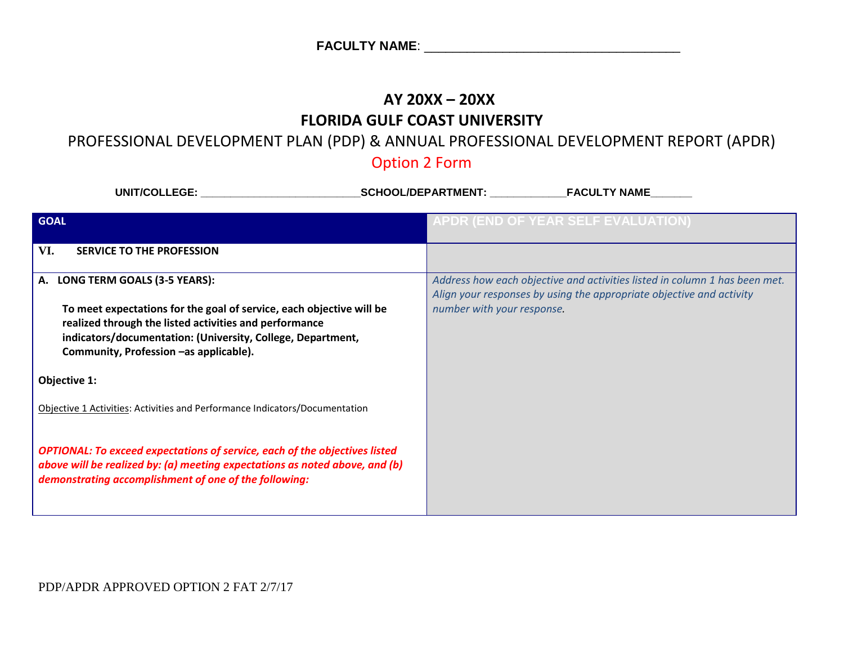## **AY 20XX – 20XX FLORIDA GULF COAST UNIVERSITY**

## PROFESSIONAL DEVELOPMENT PLAN (PDP) & ANNUAL PROFESSIONAL DEVELOPMENT REPORT (APDR)

## Option 2 Form

| <b>UNIT/COLLEGE:</b>                                                                                                                                                                                                                    | <b>SCHOOL/DEPARTMENT:</b><br><b>FACULTY NAME</b>                                                                                                   |
|-----------------------------------------------------------------------------------------------------------------------------------------------------------------------------------------------------------------------------------------|----------------------------------------------------------------------------------------------------------------------------------------------------|
| <b>GOAL</b>                                                                                                                                                                                                                             | APDR (END OF YEAR SELF EVALUATION)                                                                                                                 |
| VI.<br><b>SERVICE TO THE PROFESSION</b>                                                                                                                                                                                                 |                                                                                                                                                    |
| LONG TERM GOALS (3-5 YEARS):<br>А.                                                                                                                                                                                                      | Address how each objective and activities listed in column 1 has been met.<br>Align your responses by using the appropriate objective and activity |
| To meet expectations for the goal of service, each objective will be<br>realized through the listed activities and performance<br>indicators/documentation: (University, College, Department,<br>Community, Profession -as applicable). | number with your response.                                                                                                                         |
| Objective 1:                                                                                                                                                                                                                            |                                                                                                                                                    |
| Objective 1 Activities: Activities and Performance Indicators/Documentation                                                                                                                                                             |                                                                                                                                                    |
| <b>OPTIONAL: To exceed expectations of service, each of the objectives listed</b><br>above will be realized by: (a) meeting expectations as noted above, and (b)<br>demonstrating accomplishment of one of the following:               |                                                                                                                                                    |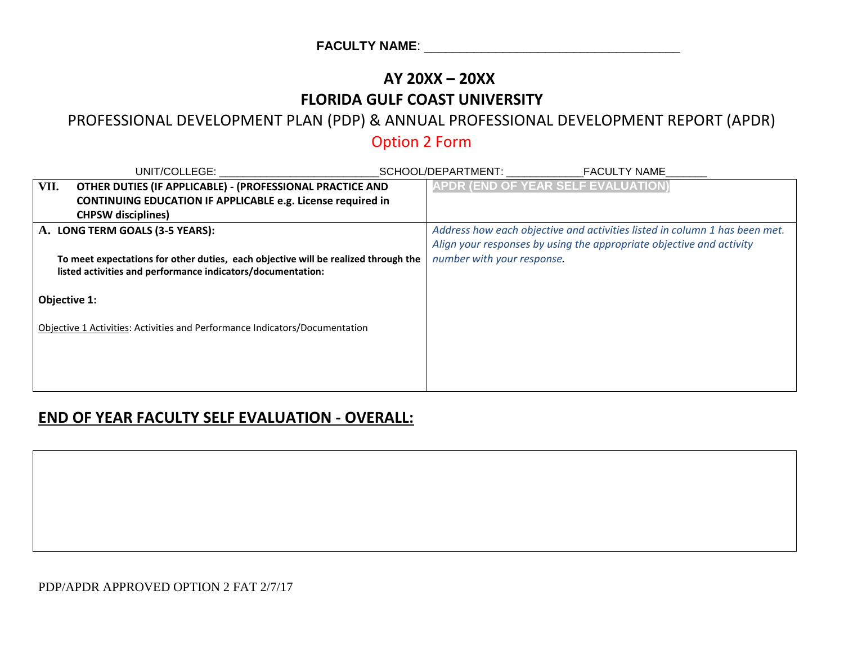## **AY 20XX – 20XX FLORIDA GULF COAST UNIVERSITY**

### PROFESSIONAL DEVELOPMENT PLAN (PDP) & ANNUAL PROFESSIONAL DEVELOPMENT REPORT (APDR)

## Option 2 Form

|              | UNIT/COLLEGE:                                                                      | <b>FACULTY NAME</b><br>SCHOOL/DEPARTMENT:                                  |
|--------------|------------------------------------------------------------------------------------|----------------------------------------------------------------------------|
| VII.         | OTHER DUTIES (IF APPLICABLE) - (PROFESSIONAL PRACTICE AND                          | APDR (END OF YEAR SELF EVALUATION)                                         |
|              | <b>CONTINUING EDUCATION IF APPLICABLE e.g. License required in</b>                 |                                                                            |
|              | <b>CHPSW</b> disciplines)                                                          |                                                                            |
|              | A. LONG TERM GOALS (3-5 YEARS):                                                    | Address how each objective and activities listed in column 1 has been met. |
|              |                                                                                    | Align your responses by using the appropriate objective and activity       |
|              | To meet expectations for other duties, each objective will be realized through the | number with your response.                                                 |
|              | listed activities and performance indicators/documentation:                        |                                                                            |
| Objective 1: |                                                                                    |                                                                            |
|              | Objective 1 Activities: Activities and Performance Indicators/Documentation        |                                                                            |
|              |                                                                                    |                                                                            |
|              |                                                                                    |                                                                            |
|              |                                                                                    |                                                                            |
|              |                                                                                    |                                                                            |

#### **END OF YEAR FACULTY SELF EVALUATION - OVERALL:**